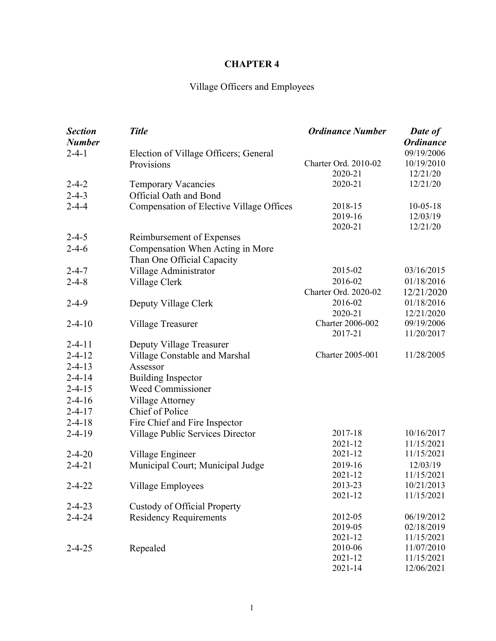# **CHAPTER 4**

# Village Officers and Employees

| <b>Section</b><br><b>Number</b> | <b>Title</b>                             | <b>Ordinance Number</b> | <b>Date of</b><br><b>Ordinance</b> |
|---------------------------------|------------------------------------------|-------------------------|------------------------------------|
| $2 - 4 - 1$                     | Election of Village Officers; General    |                         | 09/19/2006                         |
|                                 | Provisions                               | Charter Ord. 2010-02    | 10/19/2010                         |
|                                 |                                          | 2020-21                 | 12/21/20                           |
| $2 - 4 - 2$                     | <b>Temporary Vacancies</b>               | 2020-21                 | 12/21/20                           |
| $2 - 4 - 3$                     | <b>Official Oath and Bond</b>            |                         |                                    |
| $2 - 4 - 4$                     | Compensation of Elective Village Offices | 2018-15                 | $10-05-18$                         |
|                                 |                                          | 2019-16                 | 12/03/19                           |
|                                 |                                          | 2020-21                 | 12/21/20                           |
| $2 - 4 - 5$                     | Reimbursement of Expenses                |                         |                                    |
| $2 - 4 - 6$                     | Compensation When Acting in More         |                         |                                    |
|                                 | Than One Official Capacity               |                         |                                    |
| $2 - 4 - 7$                     | Village Administrator                    | 2015-02                 | 03/16/2015                         |
| $2 - 4 - 8$                     | Village Clerk                            | 2016-02                 | 01/18/2016                         |
|                                 |                                          | Charter Ord. 2020-02    | 12/21/2020                         |
| $2 - 4 - 9$                     | Deputy Village Clerk                     | 2016-02                 | 01/18/2016                         |
|                                 |                                          | 2020-21                 | 12/21/2020                         |
| $2 - 4 - 10$                    | Village Treasurer                        | <b>Charter 2006-002</b> | 09/19/2006                         |
|                                 |                                          | 2017-21                 | 11/20/2017                         |
| $2 - 4 - 11$                    | Deputy Village Treasurer                 |                         |                                    |
| $2 - 4 - 12$                    | Village Constable and Marshal            | <b>Charter 2005-001</b> | 11/28/2005                         |
| $2 - 4 - 13$                    | Assessor                                 |                         |                                    |
| $2 - 4 - 14$                    | <b>Building Inspector</b>                |                         |                                    |
| $2 - 4 - 15$                    | Weed Commissioner                        |                         |                                    |
| $2 - 4 - 16$                    | Village Attorney                         |                         |                                    |
| $2 - 4 - 17$                    | Chief of Police                          |                         |                                    |
| $2 - 4 - 18$                    | Fire Chief and Fire Inspector            |                         |                                    |
| $2 - 4 - 19$                    | Village Public Services Director         | 2017-18                 | 10/16/2017                         |
|                                 |                                          | 2021-12                 | 11/15/2021                         |
| $2 - 4 - 20$                    | Village Engineer                         | 2021-12                 | 11/15/2021                         |
| $2 - 4 - 21$                    | Municipal Court; Municipal Judge         | 2019-16                 | 12/03/19                           |
|                                 |                                          | 2021-12                 | 11/15/2021                         |
| $2 - 4 - 22$                    | Village Employees                        | 2013-23                 | 10/21/2013                         |
|                                 |                                          | 2021-12                 | 11/15/2021                         |
| $2 - 4 - 23$                    | Custody of Official Property             |                         |                                    |
| $2 - 4 - 24$                    | <b>Residency Requirements</b>            | 2012-05                 | 06/19/2012                         |
|                                 |                                          | 2019-05                 | 02/18/2019                         |
|                                 |                                          | 2021-12                 | 11/15/2021                         |
| $2 - 4 - 25$                    | Repealed                                 | 2010-06                 | 11/07/2010                         |
|                                 |                                          | 2021-12                 | 11/15/2021                         |
|                                 |                                          | 2021-14                 | 12/06/2021                         |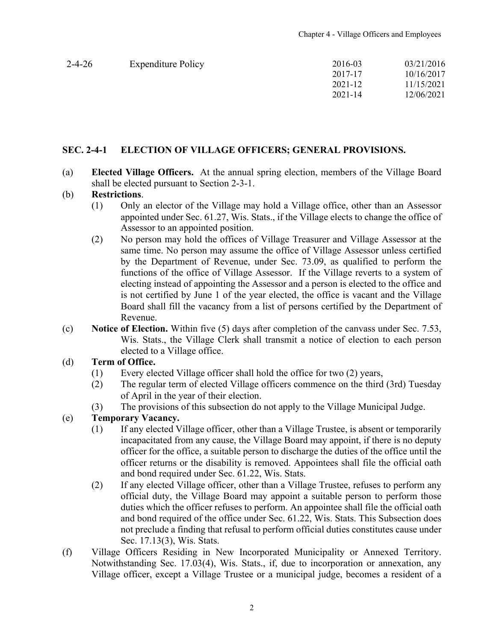<span id="page-1-0"></span>

| $2 - 4 - 26$ | <b>Expenditure Policy</b> | 2016-03     | 03/21/2016 |
|--------------|---------------------------|-------------|------------|
|              |                           | 2017-17     | 10/16/2017 |
|              |                           | 2021-12     | 11/15/2021 |
|              |                           | $2021 - 14$ | 12/06/2021 |
|              |                           |             |            |

#### **SEC. 2-4-1 ELECTION OF VILLAGE OFFICERS; GENERAL PROVISIONS.**

(a) **Elected Village Officers.** At the annual spring election, members of the Village Board shall be elected pursuant to Section 2-3-1.

#### (b) **Restrictions**.

- (1) Only an elector of the Village may hold a Village office, other than an Assessor appointed under Sec. 61.27, Wis. Stats., if the Village elects to change the office of Assessor to an appointed position.
- (2) No person may hold the offices of Village Treasurer and Village Assessor at the same time. No person may assume the office of Village Assessor unless certified by the Department of Revenue, under Sec. 73.09, as qualified to perform the functions of the office of Village Assessor. If the Village reverts to a system of electing instead of appointing the Assessor and a person is elected to the office and is not certified by June 1 of the year elected, the office is vacant and the Village Board shall fill the vacancy from a list of persons certified by the Department of Revenue.
- (c) **Notice of Election.** Within five (5) days after completion of the canvass under Sec. 7.53, Wis. Stats., the Village Clerk shall transmit a notice of election to each person elected to a Village office.

#### (d) **Term of Office.**

- (1) Every elected Village officer shall hold the office for two (2) years,
- (2) The regular term of elected Village officers commence on the third (3rd) Tuesday of April in the year of their election.
- (3) The provisions of this subsection do not apply to the Village Municipal Judge.

#### (e) **Temporary Vacancy.**

- (1) If any elected Village officer, other than a Village Trustee, is absent or temporarily incapacitated from any cause, the Village Board may appoint, if there is no deputy officer for the office, a suitable person to discharge the duties of the office until the officer returns or the disability is removed. Appointees shall file the official oath and bond required under Sec. 61.22, Wis. Stats.
- (2) If any elected Village officer, other than a Village Trustee, refuses to perform any official duty, the Village Board may appoint a suitable person to perform those duties which the officer refuses to perform. An appointee shall file the official oath and bond required of the office under Sec. 61.22, Wis. Stats. This Subsection does not preclude a finding that refusal to perform official duties constitutes cause under Sec. 17.13(3), Wis. Stats.
- (f) Village Officers Residing in New Incorporated Municipality or Annexed Territory. Notwithstanding Sec. 17.03(4), Wis. Stats., if, due to incorporation or annexation, any Village officer, except a Village Trustee or a municipal judge, becomes a resident of a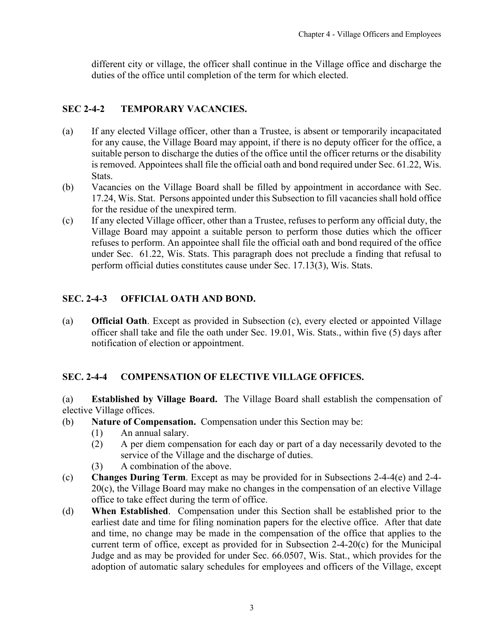<span id="page-2-0"></span>different city or village, the officer shall continue in the Village office and discharge the duties of the office until completion of the term for which elected.

## **SEC 2-4-2 TEMPORARY VACANCIES.**

- (a) If any elected Village officer, other than a Trustee, is absent or temporarily incapacitated for any cause, the Village Board may appoint, if there is no deputy officer for the office, a suitable person to discharge the duties of the office until the officer returns or the disability is removed. Appointees shall file the official oath and bond required under Sec. 61.22, Wis. Stats.
- (b) Vacancies on the Village Board shall be filled by appointment in accordance with Sec. 17.24, Wis. Stat. Persons appointed under this Subsection to fill vacancies shall hold office for the residue of the unexpired term.
- (c) If any elected Village officer, other than a Trustee, refuses to perform any official duty, the Village Board may appoint a suitable person to perform those duties which the officer refuses to perform. An appointee shall file the official oath and bond required of the office under Sec. 61.22, Wis. Stats. This paragraph does not preclude a finding that refusal to perform official duties constitutes cause under Sec. 17.13(3), Wis. Stats.

# **SEC. 2-4-3 OFFICIAL OATH AND BOND.**

(a) **Official Oath**. Except as provided in Subsection (c), every elected or appointed Village officer shall take and file the oath under Sec. 19.01, Wis. Stats., within five (5) days after notification of election or appointment.

## **SEC. 2-4-4 COMPENSATION OF ELECTIVE VILLAGE OFFICES.**

(a) **Established by Village Board.** The Village Board shall establish the compensation of elective Village offices.

- (b) **Nature of Compensation.** Compensation under this Section may be:
	- (1) An annual salary.
	- (2) A per diem compensation for each day or part of a day necessarily devoted to the service of the Village and the discharge of duties.
	- (3) A combination of the above.
- (c) **Changes During Term**. Except as may be provided for in Subsections 2-4-4(e) and 2-4- 20(c), the Village Board may make no changes in the compensation of an elective Village office to take effect during the term of office.
- (d) **When Established**. Compensation under this Section shall be established prior to the earliest date and time for filing nomination papers for the elective office. After that date and time, no change may be made in the compensation of the office that applies to the current term of office, except as provided for in Subsection 2-4-20(c) for the Municipal Judge and as may be provided for under Sec. 66.0507, Wis. Stat., which provides for the adoption of automatic salary schedules for employees and officers of the Village, except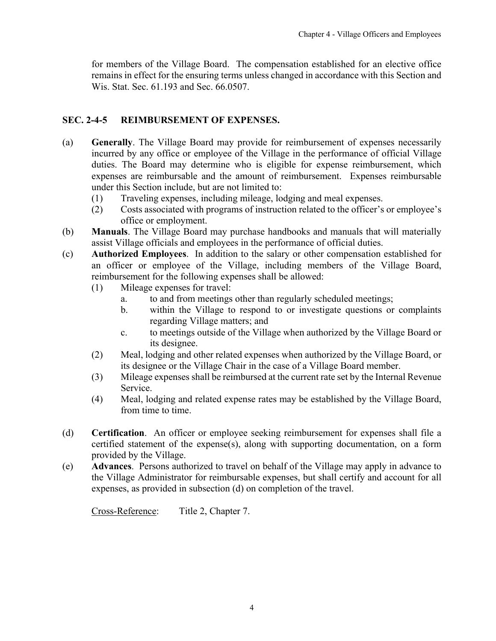<span id="page-3-0"></span>for members of the Village Board. The compensation established for an elective office remains in effect for the ensuring terms unless changed in accordance with this Section and Wis. Stat. Sec. 61.193 and Sec. 66.0507.

## **SEC. 2-4-5 REIMBURSEMENT OF EXPENSES.**

- (a) **Generally**. The Village Board may provide for reimbursement of expenses necessarily incurred by any office or employee of the Village in the performance of official Village duties. The Board may determine who is eligible for expense reimbursement, which expenses are reimbursable and the amount of reimbursement. Expenses reimbursable under this Section include, but are not limited to:
	- (1) Traveling expenses, including mileage, lodging and meal expenses.
	- (2) Costs associated with programs of instruction related to the officer's or employee's office or employment.
- (b) **Manuals**. The Village Board may purchase handbooks and manuals that will materially assist Village officials and employees in the performance of official duties.
- (c) **Authorized Employees**. In addition to the salary or other compensation established for an officer or employee of the Village, including members of the Village Board, reimbursement for the following expenses shall be allowed:
	- (1) Mileage expenses for travel:
		- a. to and from meetings other than regularly scheduled meetings;
		- b. within the Village to respond to or investigate questions or complaints regarding Village matters; and
		- c. to meetings outside of the Village when authorized by the Village Board or its designee.
	- (2) Meal, lodging and other related expenses when authorized by the Village Board, or its designee or the Village Chair in the case of a Village Board member.
	- (3) Mileage expenses shall be reimbursed at the current rate set by the Internal Revenue Service.
	- (4) Meal, lodging and related expense rates may be established by the Village Board, from time to time.
- (d) **Certification**. An officer or employee seeking reimbursement for expenses shall file a certified statement of the expense(s), along with supporting documentation, on a form provided by the Village.
- (e) **Advances**. Persons authorized to travel on behalf of the Village may apply in advance to the Village Administrator for reimbursable expenses, but shall certify and account for all expenses, as provided in subsection (d) on completion of the travel.

Cross-Reference: Title 2, Chapter 7.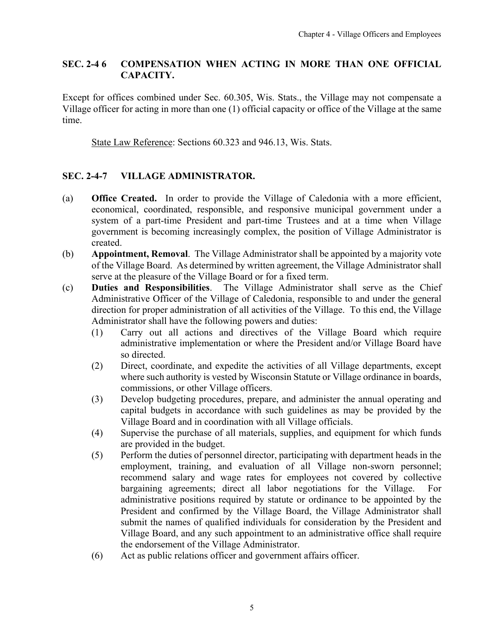## <span id="page-4-0"></span>**SEC. 2-4 6 COMPENSATION WHEN ACTING IN MORE THAN ONE OFFICIAL CAPACITY.**

Except for offices combined under Sec. 60.305, Wis. Stats., the Village may not compensate a Village officer for acting in more than one (1) official capacity or office of the Village at the same time.

State Law Reference: Sections 60.323 and 946.13, Wis. Stats.

## **SEC. 2-4-7 VILLAGE ADMINISTRATOR.**

- (a) **Office Created.** In order to provide the Village of Caledonia with a more efficient, economical, coordinated, responsible, and responsive municipal government under a system of a part-time President and part-time Trustees and at a time when Village government is becoming increasingly complex, the position of Village Administrator is created.
- (b) **Appointment, Removal**. The Village Administrator shall be appointed by a majority vote of the Village Board. As determined by written agreement, the Village Administrator shall serve at the pleasure of the Village Board or for a fixed term.
- (c) **Duties and Responsibilities**. The Village Administrator shall serve as the Chief Administrative Officer of the Village of Caledonia, responsible to and under the general direction for proper administration of all activities of the Village. To this end, the Village Administrator shall have the following powers and duties:
	- (1) Carry out all actions and directives of the Village Board which require administrative implementation or where the President and/or Village Board have so directed.
	- (2) Direct, coordinate, and expedite the activities of all Village departments, except where such authority is vested by Wisconsin Statute or Village ordinance in boards, commissions, or other Village officers.
	- (3) Develop budgeting procedures, prepare, and administer the annual operating and capital budgets in accordance with such guidelines as may be provided by the Village Board and in coordination with all Village officials.
	- (4) Supervise the purchase of all materials, supplies, and equipment for which funds are provided in the budget.
	- (5) Perform the duties of personnel director, participating with department heads in the employment, training, and evaluation of all Village non-sworn personnel; recommend salary and wage rates for employees not covered by collective bargaining agreements; direct all labor negotiations for the Village. For administrative positions required by statute or ordinance to be appointed by the President and confirmed by the Village Board, the Village Administrator shall submit the names of qualified individuals for consideration by the President and Village Board, and any such appointment to an administrative office shall require the endorsement of the Village Administrator.
	- (6) Act as public relations officer and government affairs officer.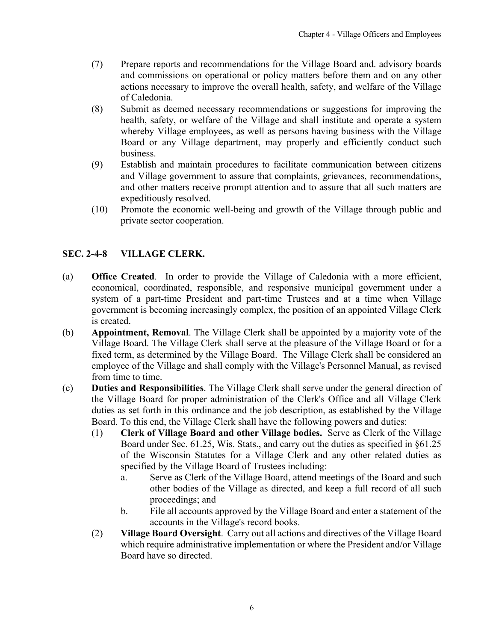- <span id="page-5-0"></span>(7) Prepare reports and recommendations for the Village Board and. advisory boards and commissions on operational or policy matters before them and on any other actions necessary to improve the overall health, safety, and welfare of the Village of Caledonia.
- (8) Submit as deemed necessary recommendations or suggestions for improving the health, safety, or welfare of the Village and shall institute and operate a system whereby Village employees, as well as persons having business with the Village Board or any Village department, may properly and efficiently conduct such business.
- (9) Establish and maintain procedures to facilitate communication between citizens and Village government to assure that complaints, grievances, recommendations, and other matters receive prompt attention and to assure that all such matters are expeditiously resolved.
- (10) Promote the economic well-being and growth of the Village through public and private sector cooperation.

## **SEC. 2-4-8 VILLAGE CLERK.**

- (a) **Office Created**. In order to provide the Village of Caledonia with a more efficient, economical, coordinated, responsible, and responsive municipal government under a system of a part-time President and part-time Trustees and at a time when Village government is becoming increasingly complex, the position of an appointed Village Clerk is created.
- (b) **Appointment, Removal**. The Village Clerk shall be appointed by a majority vote of the Village Board. The Village Clerk shall serve at the pleasure of the Village Board or for a fixed term, as determined by the Village Board. The Village Clerk shall be considered an employee of the Village and shall comply with the Village's Personnel Manual, as revised from time to time.
- (c) **Duties and Responsibilities**. The Village Clerk shall serve under the general direction of the Village Board for proper administration of the Clerk's Office and all Village Clerk duties as set forth in this ordinance and the job description, as established by the Village Board. To this end, the Village Clerk shall have the following powers and duties:
	- (1) **Clerk of Village Board and other Village bodies.** Serve as Clerk of the Village Board under Sec. 61.25, Wis. Stats., and carry out the duties as specified in §61.25 of the Wisconsin Statutes for a Village Clerk and any other related duties as specified by the Village Board of Trustees including:
		- a. Serve as Clerk of the Village Board, attend meetings of the Board and such other bodies of the Village as directed, and keep a full record of all such proceedings; and
		- b. File all accounts approved by the Village Board and enter a statement of the accounts in the Village's record books.
	- (2) **Village Board Oversight**. Carry out all actions and directives of the Village Board which require administrative implementation or where the President and/or Village Board have so directed.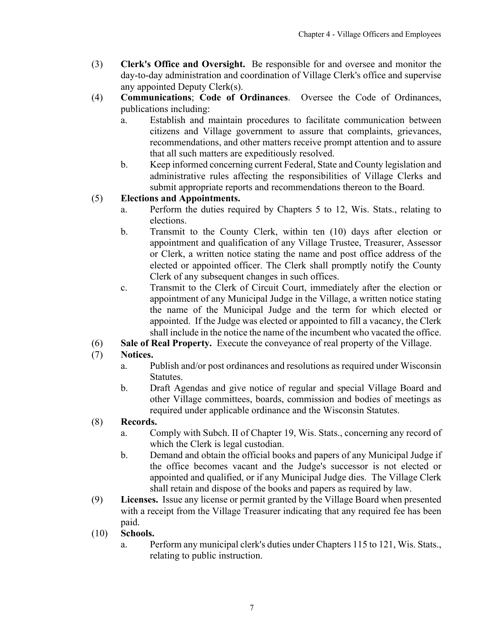- (3) **Clerk's Office and Oversight.** Be responsible for and oversee and monitor the day-to-day administration and coordination of Village Clerk's office and supervise any appointed Deputy Clerk(s).
- (4) **Communications**; **Code of Ordinances**. Oversee the Code of Ordinances, publications including:
	- a. Establish and maintain procedures to facilitate communication between citizens and Village government to assure that complaints, grievances, recommendations, and other matters receive prompt attention and to assure that all such matters are expeditiously resolved.
	- b. Keep informed concerning current Federal, State and County legislation and administrative rules affecting the responsibilities of Village Clerks and submit appropriate reports and recommendations thereon to the Board.

# (5) **Elections and Appointments.**

- a. Perform the duties required by Chapters 5 to 12, Wis. Stats., relating to elections.
- b. Transmit to the County Clerk, within ten (10) days after election or appointment and qualification of any Village Trustee, Treasurer, Assessor or Clerk, a written notice stating the name and post office address of the elected or appointed officer. The Clerk shall promptly notify the County Clerk of any subsequent changes in such offices.
- c. Transmit to the Clerk of Circuit Court, immediately after the election or appointment of any Municipal Judge in the Village, a written notice stating the name of the Municipal Judge and the term for which elected or appointed. If the Judge was elected or appointed to fill a vacancy, the Clerk shall include in the notice the name of the incumbent who vacated the office.
- (6) **Sale of Real Property.** Execute the conveyance of real property of the Village.

## (7) **Notices.**

- a. Publish and/or post ordinances and resolutions as required under Wisconsin Statutes.
- b. Draft Agendas and give notice of regular and special Village Board and other Village committees, boards, commission and bodies of meetings as required under applicable ordinance and the Wisconsin Statutes.

## (8) **Records.**

- a. Comply with Subch. II of Chapter 19, Wis. Stats., concerning any record of which the Clerk is legal custodian.
- b. Demand and obtain the official books and papers of any Municipal Judge if the office becomes vacant and the Judge's successor is not elected or appointed and qualified, or if any Municipal Judge dies. The Village Clerk shall retain and dispose of the books and papers as required by law.
- (9) **Licenses.** Issue any license or permit granted by the Village Board when presented with a receipt from the Village Treasurer indicating that any required fee has been paid.
- (10) **Schools.**
	- a. Perform any municipal clerk's duties under Chapters 115 to 121, Wis. Stats., relating to public instruction.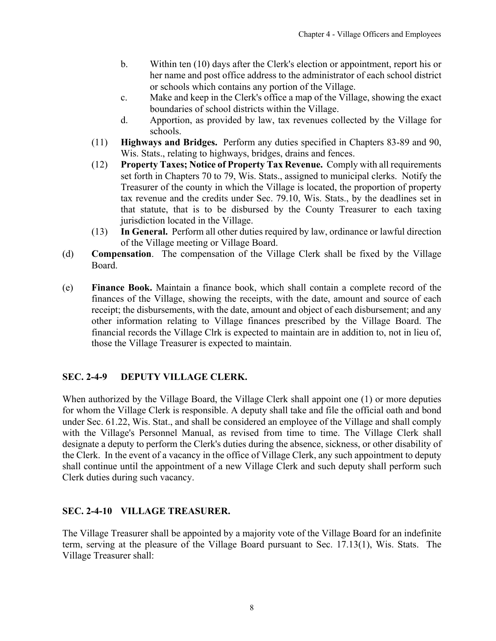- <span id="page-7-0"></span>b. Within ten (10) days after the Clerk's election or appointment, report his or her name and post office address to the administrator of each school district or schools which contains any portion of the Village.
- c. Make and keep in the Clerk's office a map of the Village, showing the exact boundaries of school districts within the Village.
- d. Apportion, as provided by law, tax revenues collected by the Village for schools.
- (11) **Highways and Bridges.** Perform any duties specified in Chapters 83-89 and 90, Wis. Stats., relating to highways, bridges, drains and fences.
- (12) **Property Taxes; Notice of Property Tax Revenue.** Comply with all requirements set forth in Chapters 70 to 79, Wis. Stats., assigned to municipal clerks. Notify the Treasurer of the county in which the Village is located, the proportion of property tax revenue and the credits under Sec. 79.10, Wis. Stats., by the deadlines set in that statute, that is to be disbursed by the County Treasurer to each taxing jurisdiction located in the Village.
- (13) **In General.** Perform all other duties required by law, ordinance or lawful direction of the Village meeting or Village Board.
- (d) **Compensation**. The compensation of the Village Clerk shall be fixed by the Village Board.
- (e) **Finance Book.** Maintain a finance book, which shall contain a complete record of the finances of the Village, showing the receipts, with the date, amount and source of each receipt; the disbursements, with the date, amount and object of each disbursement; and any other information relating to Village finances prescribed by the Village Board. The financial records the Village Clrk is expected to maintain are in addition to, not in lieu of, those the Village Treasurer is expected to maintain.

# **SEC. 2-4-9 DEPUTY VILLAGE CLERK.**

When authorized by the Village Board, the Village Clerk shall appoint one (1) or more deputies for whom the Village Clerk is responsible. A deputy shall take and file the official oath and bond under Sec. 61.22, Wis. Stat., and shall be considered an employee of the Village and shall comply with the Village's Personnel Manual, as revised from time to time. The Village Clerk shall designate a deputy to perform the Clerk's duties during the absence, sickness, or other disability of the Clerk. In the event of a vacancy in the office of Village Clerk, any such appointment to deputy shall continue until the appointment of a new Village Clerk and such deputy shall perform such Clerk duties during such vacancy.

## **SEC. 2-4-10 VILLAGE TREASURER.**

The Village Treasurer shall be appointed by a majority vote of the Village Board for an indefinite term, serving at the pleasure of the Village Board pursuant to Sec. 17.13(1), Wis. Stats. The Village Treasurer shall: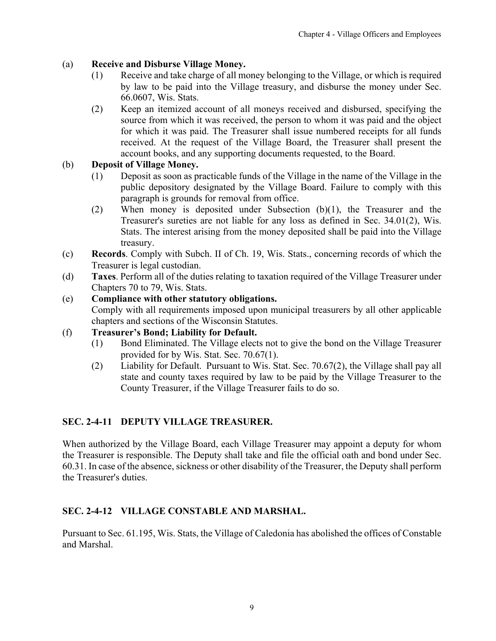# <span id="page-8-0"></span>(a) **Receive and Disburse Village Money.**

- (1) Receive and take charge of all money belonging to the Village, or which is required by law to be paid into the Village treasury, and disburse the money under Sec. 66.0607, Wis. Stats.
- (2) Keep an itemized account of all moneys received and disbursed, specifying the source from which it was received, the person to whom it was paid and the object for which it was paid. The Treasurer shall issue numbered receipts for all funds received. At the request of the Village Board, the Treasurer shall present the account books, and any supporting documents requested, to the Board.

## (b) **Deposit of Village Money.**

- (1) Deposit as soon as practicable funds of the Village in the name of the Village in the public depository designated by the Village Board. Failure to comply with this paragraph is grounds for removal from office.
- (2) When money is deposited under Subsection (b)(1), the Treasurer and the Treasurer's sureties are not liable for any loss as defined in Sec. 34.01(2), Wis. Stats. The interest arising from the money deposited shall be paid into the Village treasury.
- (c) **Records**. Comply with Subch. II of Ch. 19, Wis. Stats., concerning records of which the Treasurer is legal custodian.
- (d) **Taxes**. Perform all of the duties relating to taxation required of the Village Treasurer under Chapters 70 to 79, Wis. Stats.

## (e) **Compliance with other statutory obligations.**

Comply with all requirements imposed upon municipal treasurers by all other applicable chapters and sections of the Wisconsin Statutes.

## (f) **Treasurer's Bond; Liability for Default.**

- (1) Bond Eliminated. The Village elects not to give the bond on the Village Treasurer provided for by Wis. Stat. Sec. 70.67(1).
- (2) Liability for Default. Pursuant to Wis. Stat. Sec. 70.67(2), the Village shall pay all state and county taxes required by law to be paid by the Village Treasurer to the County Treasurer, if the Village Treasurer fails to do so.

## **SEC. 2-4-11 DEPUTY VILLAGE TREASURER.**

When authorized by the Village Board, each Village Treasurer may appoint a deputy for whom the Treasurer is responsible. The Deputy shall take and file the official oath and bond under Sec. 60.31. In case of the absence, sickness or other disability of the Treasurer, the Deputy shall perform the Treasurer's duties.

## **SEC. 2-4-12 VILLAGE CONSTABLE AND MARSHAL.**

Pursuant to Sec. 61.195, Wis. Stats, the Village of Caledonia has abolished the offices of Constable and Marshal.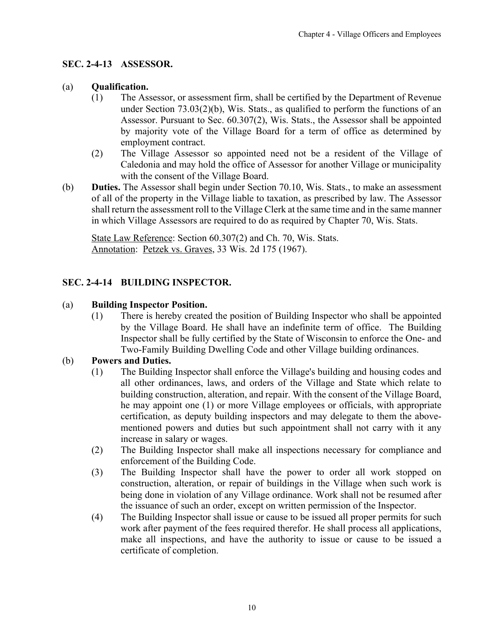## <span id="page-9-0"></span>**SEC. 2-4-13 ASSESSOR.**

#### (a) **Qualification.**

- (1) The Assessor, or assessment firm, shall be certified by the Department of Revenue under Section 73.03(2)(b), Wis. Stats., as qualified to perform the functions of an Assessor. Pursuant to Sec. 60.307(2), Wis. Stats., the Assessor shall be appointed by majority vote of the Village Board for a term of office as determined by employment contract.
- (2) The Village Assessor so appointed need not be a resident of the Village of Caledonia and may hold the office of Assessor for another Village or municipality with the consent of the Village Board.
- (b) **Duties.** The Assessor shall begin under Section 70.10, Wis. Stats., to make an assessment of all of the property in the Village liable to taxation, as prescribed by law. The Assessor shall return the assessment roll to the Village Clerk at the same time and in the same manner in which Village Assessors are required to do as required by Chapter 70, Wis. Stats.

State Law Reference: Section 60.307(2) and Ch. 70, Wis. Stats. Annotation: Petzek vs. Graves, 33 Wis. 2d 175 (1967).

#### **SEC. 2-4-14 BUILDING INSPECTOR.**

#### (a) **Building Inspector Position.**

(1) There is hereby created the position of Building Inspector who shall be appointed by the Village Board. He shall have an indefinite term of office. The Building Inspector shall be fully certified by the State of Wisconsin to enforce the One- and Two-Family Building Dwelling Code and other Village building ordinances.

#### (b) **Powers and Duties.**

- (1) The Building Inspector shall enforce the Village's building and housing codes and all other ordinances, laws, and orders of the Village and State which relate to building construction, alteration, and repair. With the consent of the Village Board, he may appoint one (1) or more Village employees or officials, with appropriate certification, as deputy building inspectors and may delegate to them the abovementioned powers and duties but such appointment shall not carry with it any increase in salary or wages.
- (2) The Building Inspector shall make all inspections necessary for compliance and enforcement of the Building Code.
- (3) The Building Inspector shall have the power to order all work stopped on construction, alteration, or repair of buildings in the Village when such work is being done in violation of any Village ordinance. Work shall not be resumed after the issuance of such an order, except on written permission of the Inspector.
- (4) The Building Inspector shall issue or cause to be issued all proper permits for such work after payment of the fees required therefor. He shall process all applications, make all inspections, and have the authority to issue or cause to be issued a certificate of completion.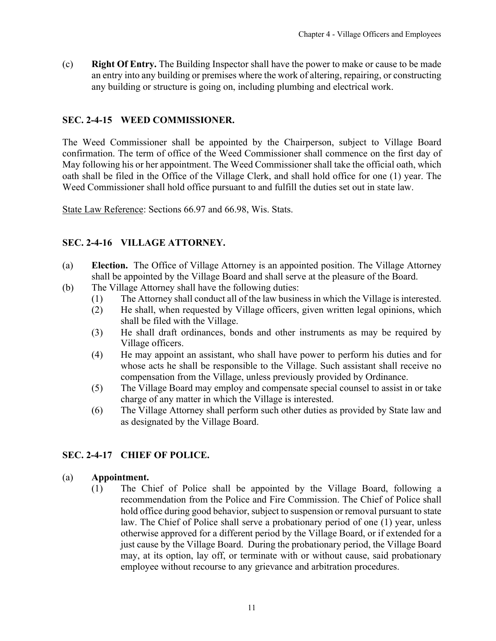<span id="page-10-0"></span>(c) **Right Of Entry.** The Building Inspector shall have the power to make or cause to be made an entry into any building or premises where the work of altering, repairing, or constructing any building or structure is going on, including plumbing and electrical work.

## **SEC. 2-4-15 WEED COMMISSIONER.**

The Weed Commissioner shall be appointed by the Chairperson, subject to Village Board confirmation. The term of office of the Weed Commissioner shall commence on the first day of May following his or her appointment. The Weed Commissioner shall take the official oath, which oath shall be filed in the Office of the Village Clerk, and shall hold office for one (1) year. The Weed Commissioner shall hold office pursuant to and fulfill the duties set out in state law.

State Law Reference: Sections 66.97 and 66.98, Wis. Stats.

## **SEC. 2-4-16 VILLAGE ATTORNEY.**

- (a) **Election.** The Office of Village Attorney is an appointed position. The Village Attorney shall be appointed by the Village Board and shall serve at the pleasure of the Board.
- (b) The Village Attorney shall have the following duties:
	- (1) The Attorney shall conduct all of the law business in which the Village is interested.
	- (2) He shall, when requested by Village officers, given written legal opinions, which shall be filed with the Village.
	- (3) He shall draft ordinances, bonds and other instruments as may be required by Village officers.
	- (4) He may appoint an assistant, who shall have power to perform his duties and for whose acts he shall be responsible to the Village. Such assistant shall receive no compensation from the Village, unless previously provided by Ordinance.
	- (5) The Village Board may employ and compensate special counsel to assist in or take charge of any matter in which the Village is interested.
	- (6) The Village Attorney shall perform such other duties as provided by State law and as designated by the Village Board.

## **SEC. 2-4-17 CHIEF OF POLICE.**

## (a) **Appointment.**

(1) The Chief of Police shall be appointed by the Village Board, following a recommendation from the Police and Fire Commission. The Chief of Police shall hold office during good behavior, subject to suspension or removal pursuant to state law. The Chief of Police shall serve a probationary period of one (1) year, unless otherwise approved for a different period by the Village Board, or if extended for a just cause by the Village Board. During the probationary period, the Village Board may, at its option, lay off, or terminate with or without cause, said probationary employee without recourse to any grievance and arbitration procedures.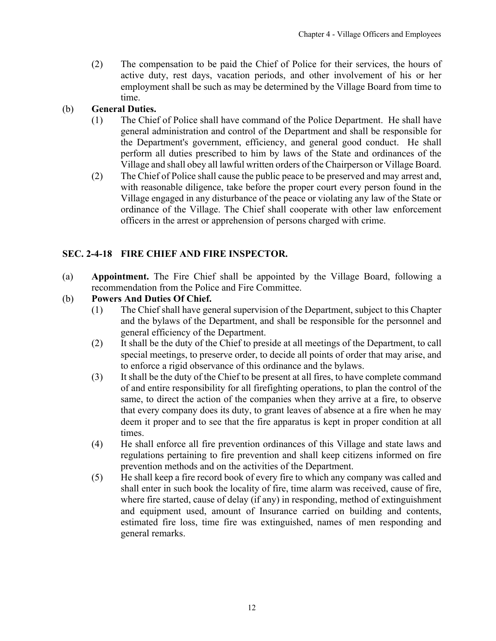<span id="page-11-0"></span>(2) The compensation to be paid the Chief of Police for their services, the hours of active duty, rest days, vacation periods, and other involvement of his or her employment shall be such as may be determined by the Village Board from time to time.

## (b) **General Duties.**

- (1) The Chief of Police shall have command of the Police Department. He shall have general administration and control of the Department and shall be responsible for the Department's government, efficiency, and general good conduct. He shall perform all duties prescribed to him by laws of the State and ordinances of the Village and shall obey all lawful written orders of the Chairperson or Village Board.
- (2) The Chief of Police shall cause the public peace to be preserved and may arrest and, with reasonable diligence, take before the proper court every person found in the Village engaged in any disturbance of the peace or violating any law of the State or ordinance of the Village. The Chief shall cooperate with other law enforcement officers in the arrest or apprehension of persons charged with crime.

# **SEC. 2-4-18 FIRE CHIEF AND FIRE INSPECTOR.**

(a) **Appointment.** The Fire Chief shall be appointed by the Village Board, following a recommendation from the Police and Fire Committee.

## (b) **Powers And Duties Of Chief.**

- (1) The Chief shall have general supervision of the Department, subject to this Chapter and the bylaws of the Department, and shall be responsible for the personnel and general efficiency of the Department.
- (2) It shall be the duty of the Chief to preside at all meetings of the Department, to call special meetings, to preserve order, to decide all points of order that may arise, and to enforce a rigid observance of this ordinance and the bylaws.
- (3) It shall be the duty of the Chief to be present at all fires, to have complete command of and entire responsibility for all firefighting operations, to plan the control of the same, to direct the action of the companies when they arrive at a fire, to observe that every company does its duty, to grant leaves of absence at a fire when he may deem it proper and to see that the fire apparatus is kept in proper condition at all times.
- (4) He shall enforce all fire prevention ordinances of this Village and state laws and regulations pertaining to fire prevention and shall keep citizens informed on fire prevention methods and on the activities of the Department.
- (5) He shall keep a fire record book of every fire to which any company was called and shall enter in such book the locality of fire, time alarm was received, cause of fire, where fire started, cause of delay (if any) in responding, method of extinguishment and equipment used, amount of Insurance carried on building and contents, estimated fire loss, time fire was extinguished, names of men responding and general remarks.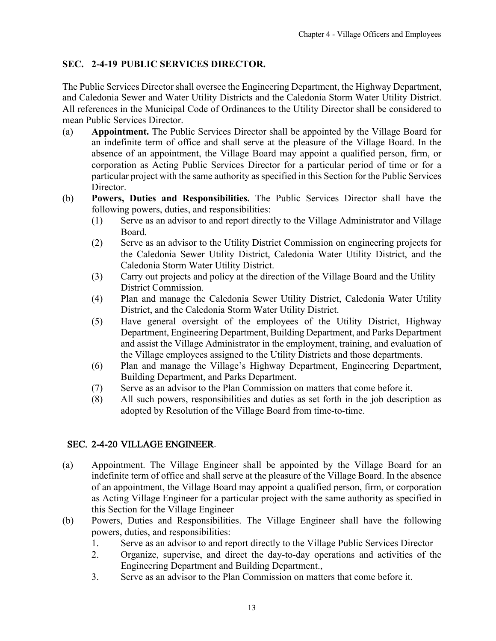# <span id="page-12-0"></span>**SEC. 2-4-19 PUBLIC SERVICES DIRECTOR.**

The Public Services Director shall oversee the Engineering Department, the Highway Department, and Caledonia Sewer and Water Utility Districts and the Caledonia Storm Water Utility District. All references in the Municipal Code of Ordinances to the Utility Director shall be considered to mean Public Services Director.

- (a) **Appointment.** The Public Services Director shall be appointed by the Village Board for an indefinite term of office and shall serve at the pleasure of the Village Board. In the absence of an appointment, the Village Board may appoint a qualified person, firm, or corporation as Acting Public Services Director for a particular period of time or for a particular project with the same authority as specified in this Section for the Public Services Director.
- (b) **Powers, Duties and Responsibilities.** The Public Services Director shall have the following powers, duties, and responsibilities:
	- (1) Serve as an advisor to and report directly to the Village Administrator and Village Board.
	- (2) Serve as an advisor to the Utility District Commission on engineering projects for the Caledonia Sewer Utility District, Caledonia Water Utility District, and the Caledonia Storm Water Utility District.
	- (3) Carry out projects and policy at the direction of the Village Board and the Utility District Commission.
	- (4) Plan and manage the Caledonia Sewer Utility District, Caledonia Water Utility District, and the Caledonia Storm Water Utility District.
	- (5) Have general oversight of the employees of the Utility District, Highway Department, Engineering Department, Building Department, and Parks Department and assist the Village Administrator in the employment, training, and evaluation of the Village employees assigned to the Utility Districts and those departments.
	- (6) Plan and manage the Village's Highway Department, Engineering Department, Building Department, and Parks Department.
	- (7) Serve as an advisor to the Plan Commission on matters that come before it.
	- (8) All such powers, responsibilities and duties as set forth in the job description as adopted by Resolution of the Village Board from time-to-time.

# SEC. 2-4-20 VILLAGE ENGINEER.

- (a) Appointment. The Village Engineer shall be appointed by the Village Board for an indefinite term of office and shall serve at the pleasure of the Village Board. In the absence of an appointment, the Village Board may appoint a qualified person, firm, or corporation as Acting Village Engineer for a particular project with the same authority as specified in this Section for the Village Engineer
- (b) Powers, Duties and Responsibilities. The Village Engineer shall have the following powers, duties, and responsibilities:
	- 1. Serve as an advisor to and report directly to the Village Public Services Director
	- 2. Organize, supervise, and direct the day-to-day operations and activities of the Engineering Department and Building Department.,
	- 3. Serve as an advisor to the Plan Commission on matters that come before it.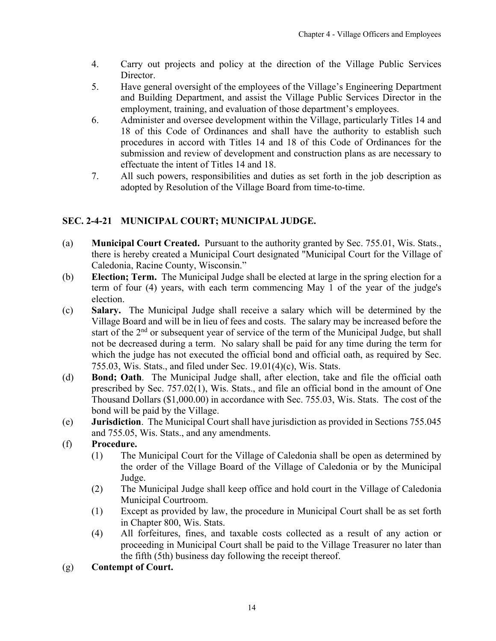- <span id="page-13-0"></span>4. Carry out projects and policy at the direction of the Village Public Services Director.
- 5. Have general oversight of the employees of the Village's Engineering Department and Building Department, and assist the Village Public Services Director in the employment, training, and evaluation of those department's employees.
- 6. Administer and oversee development within the Village, particularly Titles 14 and 18 of this Code of Ordinances and shall have the authority to establish such procedures in accord with Titles 14 and 18 of this Code of Ordinances for the submission and review of development and construction plans as are necessary to effectuate the intent of Titles 14 and 18.
- 7. All such powers, responsibilities and duties as set forth in the job description as adopted by Resolution of the Village Board from time-to-time.

# **SEC. 2-4-21 MUNICIPAL COURT; MUNICIPAL JUDGE.**

- (a) **Municipal Court Created.** Pursuant to the authority granted by Sec. 755.01, Wis. Stats., there is hereby created a Municipal Court designated "Municipal Court for the Village of Caledonia, Racine County, Wisconsin."
- (b) **Election; Term.** The Municipal Judge shall be elected at large in the spring election for a term of four (4) years, with each term commencing May 1 of the year of the judge's election.
- (c) **Salary.** The Municipal Judge shall receive a salary which will be determined by the Village Board and will be in lieu of fees and costs. The salary may be increased before the start of the 2<sup>nd</sup> or subsequent year of service of the term of the Municipal Judge, but shall not be decreased during a term. No salary shall be paid for any time during the term for which the judge has not executed the official bond and official oath, as required by Sec. 755.03, Wis. Stats., and filed under Sec. 19.01(4)(c), Wis. Stats.
- (d) **Bond; Oath**. The Municipal Judge shall, after election, take and file the official oath prescribed by Sec. 757.02(1), Wis. Stats., and file an official bond in the amount of One Thousand Dollars (\$1,000.00) in accordance with Sec. 755.03, Wis. Stats. The cost of the bond will be paid by the Village.
- (e) **Jurisdiction**. The Municipal Court shall have jurisdiction as provided in Sections 755.045 and 755.05, Wis. Stats., and any amendments.
- (f) **Procedure.**
	- (1) The Municipal Court for the Village of Caledonia shall be open as determined by the order of the Village Board of the Village of Caledonia or by the Municipal Judge.
	- (2) The Municipal Judge shall keep office and hold court in the Village of Caledonia Municipal Courtroom.
	- (1) Except as provided by law, the procedure in Municipal Court shall be as set forth in Chapter 800, Wis. Stats.
	- (4) All forfeitures, fines, and taxable costs collected as a result of any action or proceeding in Municipal Court shall be paid to the Village Treasurer no later than the fifth (5th) business day following the receipt thereof.
- (g) **Contempt of Court.**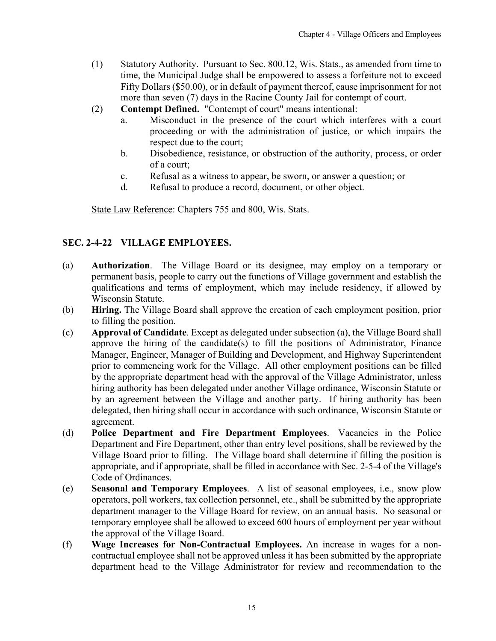- <span id="page-14-0"></span>(1) Statutory Authority. Pursuant to Sec. 800.12, Wis. Stats., as amended from time to time, the Municipal Judge shall be empowered to assess a forfeiture not to exceed Fifty Dollars (\$50.00), or in default of payment thereof, cause imprisonment for not more than seven (7) days in the Racine County Jail for contempt of court.
- (2) **Contempt Defined.** "Contempt of court" means intentional:
	- a. Misconduct in the presence of the court which interferes with a court proceeding or with the administration of justice, or which impairs the respect due to the court;
	- b. Disobedience, resistance, or obstruction of the authority, process, or order of a court;
	- c. Refusal as a witness to appear, be sworn, or answer a question; or
	- d. Refusal to produce a record, document, or other object.

State Law Reference: Chapters 755 and 800, Wis. Stats.

#### **SEC. 2-4-22 VILLAGE EMPLOYEES.**

- (a) **Authorization**. The Village Board or its designee, may employ on a temporary or permanent basis, people to carry out the functions of Village government and establish the qualifications and terms of employment, which may include residency, if allowed by Wisconsin Statute.
- (b) **Hiring.** The Village Board shall approve the creation of each employment position, prior to filling the position.
- (c) **Approval of Candidate**. Except as delegated under subsection (a), the Village Board shall approve the hiring of the candidate(s) to fill the positions of Administrator, Finance Manager, Engineer, Manager of Building and Development, and Highway Superintendent prior to commencing work for the Village. All other employment positions can be filled by the appropriate department head with the approval of the Village Administrator, unless hiring authority has been delegated under another Village ordinance, Wisconsin Statute or by an agreement between the Village and another party. If hiring authority has been delegated, then hiring shall occur in accordance with such ordinance, Wisconsin Statute or agreement.
- (d) **Police Department and Fire Department Employees**. Vacancies in the Police Department and Fire Department, other than entry level positions, shall be reviewed by the Village Board prior to filling. The Village board shall determine if filling the position is appropriate, and if appropriate, shall be filled in accordance with Sec. 2-5-4 of the Village's Code of Ordinances.
- (e) **Seasonal and Temporary Employees**. A list of seasonal employees, i.e., snow plow operators, poll workers, tax collection personnel, etc., shall be submitted by the appropriate department manager to the Village Board for review, on an annual basis. No seasonal or temporary employee shall be allowed to exceed 600 hours of employment per year without the approval of the Village Board.
- (f) **Wage Increases for Non-Contractual Employees.** An increase in wages for a noncontractual employee shall not be approved unless it has been submitted by the appropriate department head to the Village Administrator for review and recommendation to the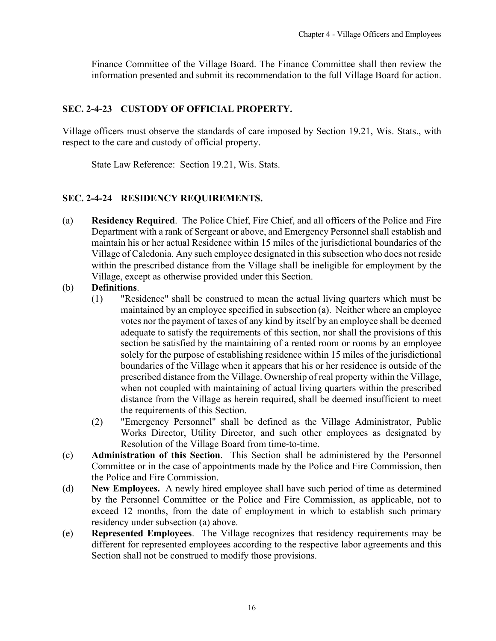<span id="page-15-0"></span>Finance Committee of the Village Board. The Finance Committee shall then review the information presented and submit its recommendation to the full Village Board for action.

#### **SEC. 2-4-23 CUSTODY OF OFFICIAL PROPERTY.**

Village officers must observe the standards of care imposed by Section 19.21, Wis. Stats., with respect to the care and custody of official property.

State Law Reference: Section 19.21, Wis. Stats.

## **SEC. 2-4-24 RESIDENCY REQUIREMENTS.**

- (a) **Residency Required**. The Police Chief, Fire Chief, and all officers of the Police and Fire Department with a rank of Sergeant or above, and Emergency Personnel shall establish and maintain his or her actual Residence within 15 miles of the jurisdictional boundaries of the Village of Caledonia. Any such employee designated in this subsection who does not reside within the prescribed distance from the Village shall be ineligible for employment by the Village, except as otherwise provided under this Section.
- (b) **Definitions**.
	- (1) "Residence" shall be construed to mean the actual living quarters which must be maintained by an employee specified in subsection (a). Neither where an employee votes nor the payment of taxes of any kind by itself by an employee shall be deemed adequate to satisfy the requirements of this section, nor shall the provisions of this section be satisfied by the maintaining of a rented room or rooms by an employee solely for the purpose of establishing residence within 15 miles of the jurisdictional boundaries of the Village when it appears that his or her residence is outside of the prescribed distance from the Village. Ownership of real property within the Village, when not coupled with maintaining of actual living quarters within the prescribed distance from the Village as herein required, shall be deemed insufficient to meet the requirements of this Section.
	- (2) "Emergency Personnel" shall be defined as the Village Administrator, Public Works Director, Utility Director, and such other employees as designated by Resolution of the Village Board from time-to-time.
- (c) **Administration of this Section**. This Section shall be administered by the Personnel Committee or in the case of appointments made by the Police and Fire Commission, then the Police and Fire Commission.
- (d) **New Employees.** A newly hired employee shall have such period of time as determined by the Personnel Committee or the Police and Fire Commission, as applicable, not to exceed 12 months, from the date of employment in which to establish such primary residency under subsection (a) above.
- (e) **Represented Employees**. The Village recognizes that residency requirements may be different for represented employees according to the respective labor agreements and this Section shall not be construed to modify those provisions.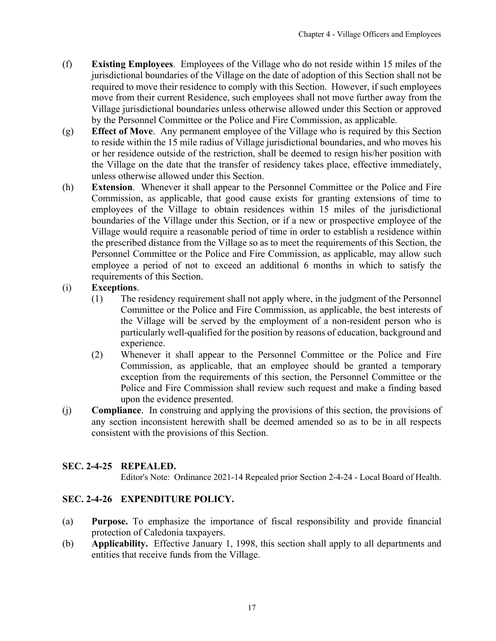- <span id="page-16-0"></span>(f) **Existing Employees**. Employees of the Village who do not reside within 15 miles of the jurisdictional boundaries of the Village on the date of adoption of this Section shall not be required to move their residence to comply with this Section. However, if such employees move from their current Residence, such employees shall not move further away from the Village jurisdictional boundaries unless otherwise allowed under this Section or approved by the Personnel Committee or the Police and Fire Commission, as applicable.
- (g) **Effect of Move**. Any permanent employee of the Village who is required by this Section to reside within the 15 mile radius of Village jurisdictional boundaries, and who moves his or her residence outside of the restriction, shall be deemed to resign his/her position with the Village on the date that the transfer of residency takes place, effective immediately, unless otherwise allowed under this Section.
- (h) **Extension**. Whenever it shall appear to the Personnel Committee or the Police and Fire Commission, as applicable, that good cause exists for granting extensions of time to employees of the Village to obtain residences within 15 miles of the jurisdictional boundaries of the Village under this Section, or if a new or prospective employee of the Village would require a reasonable period of time in order to establish a residence within the prescribed distance from the Village so as to meet the requirements of this Section, the Personnel Committee or the Police and Fire Commission, as applicable, may allow such employee a period of not to exceed an additional 6 months in which to satisfy the requirements of this Section.

## (i) **Exceptions**.

- (1) The residency requirement shall not apply where, in the judgment of the Personnel Committee or the Police and Fire Commission, as applicable, the best interests of the Village will be served by the employment of a non-resident person who is particularly well-qualified for the position by reasons of education, background and experience.
- (2) Whenever it shall appear to the Personnel Committee or the Police and Fire Commission, as applicable, that an employee should be granted a temporary exception from the requirements of this section, the Personnel Committee or the Police and Fire Commission shall review such request and make a finding based upon the evidence presented.
- (j) **Compliance**. In construing and applying the provisions of this section, the provisions of any section inconsistent herewith shall be deemed amended so as to be in all respects consistent with the provisions of this Section.

#### **SEC. 2-4-25 REPEALED.**

Editor's Note: Ordinance 2021-14 Repealed prior Section 2-4-24 - Local Board of Health.

## **SEC. 2-4-26 EXPENDITURE POLICY.**

- (a) **Purpose.** To emphasize the importance of fiscal responsibility and provide financial protection of Caledonia taxpayers.
- (b) **Applicability.** Effective January 1, 1998, this section shall apply to all departments and entities that receive funds from the Village.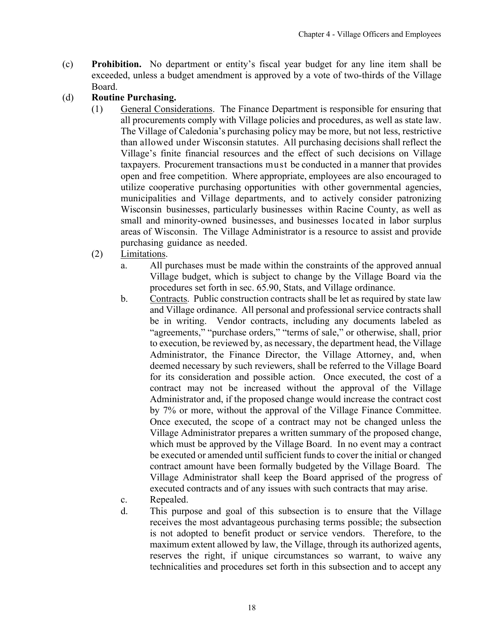- (c) **Prohibition.** No department or entity's fiscal year budget for any line item shall be exceeded, unless a budget amendment is approved by a vote of two-thirds of the Village Board.
- (d) **Routine Purchasing.**
	- (1) General Considerations. The Finance Department is responsible for ensuring that all procurements comply with Village policies and procedures, as well as state law. The Village of Caledonia's purchasing policy may be more, but not less, restrictive than allowed under Wisconsin statutes. All purchasing decisions shall reflect the Village's finite financial resources and the effect of such decisions on Village taxpayers. Procurement transactions must be conducted in a manner that provides open and free competition. Where appropriate, employees are also encouraged to utilize cooperative purchasing opportunities with other governmental agencies, municipalities and Village departments, and to actively consider patronizing Wisconsin businesses, particularly businesses within Racine County, as well as small and minority-owned businesses, and businesses located in labor surplus areas of Wisconsin. The Village Administrator is a resource to assist and provide purchasing guidance as needed.
	- (2) Limitations.
		- a. All purchases must be made within the constraints of the approved annual Village budget, which is subject to change by the Village Board via the procedures set forth in sec. 65.90, Stats, and Village ordinance.
		- b. Contracts. Public construction contracts shall be let as required by state law and Village ordinance. All personal and professional service contracts shall be in writing. Vendor contracts, including any documents labeled as "agreements," "purchase orders," "terms of sale," or otherwise, shall, prior to execution, be reviewed by, as necessary, the department head, the Village Administrator, the Finance Director, the Village Attorney, and, when deemed necessary by such reviewers, shall be referred to the Village Board for its consideration and possible action. Once executed, the cost of a contract may not be increased without the approval of the Village Administrator and, if the proposed change would increase the contract cost by 7% or more, without the approval of the Village Finance Committee. Once executed, the scope of a contract may not be changed unless the Village Administrator prepares a written summary of the proposed change, which must be approved by the Village Board. In no event may a contract be executed or amended until sufficient funds to cover the initial or changed contract amount have been formally budgeted by the Village Board. The Village Administrator shall keep the Board apprised of the progress of executed contracts and of any issues with such contracts that may arise.
		- c. Repealed.
		- d. This purpose and goal of this subsection is to ensure that the Village receives the most advantageous purchasing terms possible; the subsection is not adopted to benefit product or service vendors. Therefore, to the maximum extent allowed by law, the Village, through its authorized agents, reserves the right, if unique circumstances so warrant, to waive any technicalities and procedures set forth in this subsection and to accept any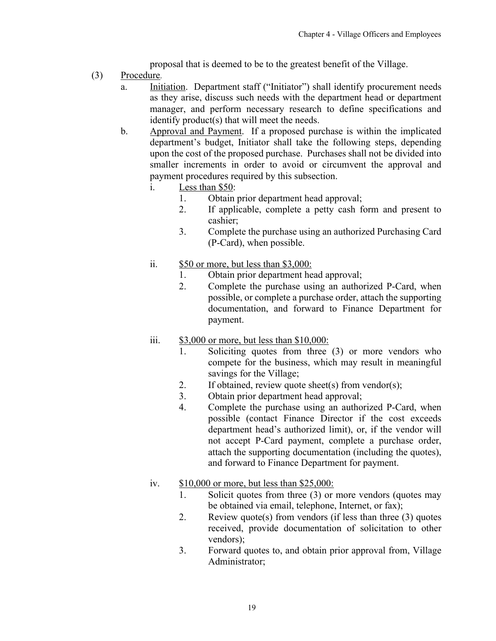proposal that is deemed to be to the greatest benefit of the Village.

- (3) Procedure.
	- a. Initiation. Department staff ("Initiator") shall identify procurement needs as they arise, discuss such needs with the department head or department manager, and perform necessary research to define specifications and identify product(s) that will meet the needs.
	- b. Approval and Payment. If a proposed purchase is within the implicated department's budget, Initiator shall take the following steps, depending upon the cost of the proposed purchase. Purchases shall not be divided into smaller increments in order to avoid or circumvent the approval and payment procedures required by this subsection.
		- i. Less than \$50:
			- 1. Obtain prior department head approval;
			- 2. If applicable, complete a petty cash form and present to cashier;
			- 3. Complete the purchase using an authorized Purchasing Card (P-Card), when possible.
		- ii. \$50 or more, but less than \$3,000:
			- 1. Obtain prior department head approval;
			- 2. Complete the purchase using an authorized P-Card, when possible, or complete a purchase order, attach the supporting documentation, and forward to Finance Department for payment.
		- iii.  $$3,000$  or more, but less than  $$10,000$ :
			- 1. Soliciting quotes from three (3) or more vendors who compete for the business, which may result in meaningful savings for the Village;
			- 2. If obtained, review quote sheet(s) from vendor(s);
			- 3. Obtain prior department head approval;
			- 4. Complete the purchase using an authorized P-Card, when possible (contact Finance Director if the cost exceeds department head's authorized limit), or, if the vendor will not accept P-Card payment, complete a purchase order, attach the supporting documentation (including the quotes), and forward to Finance Department for payment.
		- iv. \$10,000 or more, but less than \$25,000:
			- 1. Solicit quotes from three (3) or more vendors (quotes may be obtained via email, telephone, Internet, or fax);
			- 2. Review quote(s) from vendors (if less than three (3) quotes received, provide documentation of solicitation to other vendors);
			- 3. Forward quotes to, and obtain prior approval from, Village Administrator;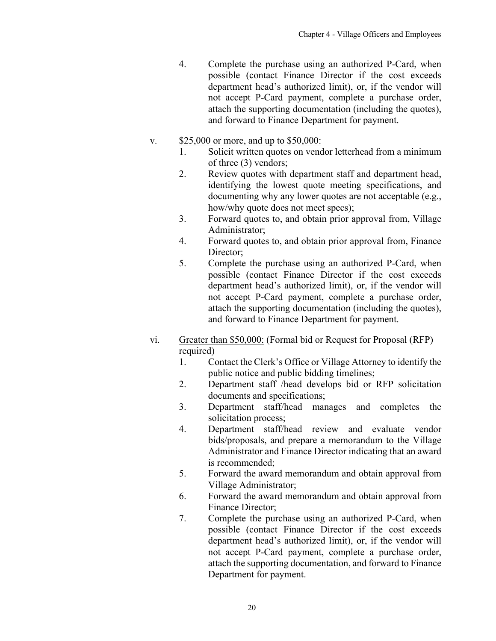- 4. Complete the purchase using an authorized P-Card, when possible (contact Finance Director if the cost exceeds department head's authorized limit), or, if the vendor will not accept P-Card payment, complete a purchase order, attach the supporting documentation (including the quotes), and forward to Finance Department for payment.
- v. \$25,000 or more, and up to \$50,000:
	- 1. Solicit written quotes on vendor letterhead from a minimum of three (3) vendors;
	- 2. Review quotes with department staff and department head, identifying the lowest quote meeting specifications, and documenting why any lower quotes are not acceptable (e.g., how/why quote does not meet specs);
	- 3. Forward quotes to, and obtain prior approval from, Village Administrator;
	- 4. Forward quotes to, and obtain prior approval from, Finance Director:
	- 5. Complete the purchase using an authorized P-Card, when possible (contact Finance Director if the cost exceeds department head's authorized limit), or, if the vendor will not accept P-Card payment, complete a purchase order, attach the supporting documentation (including the quotes), and forward to Finance Department for payment.
- vi. Greater than \$50,000: (Formal bid or Request for Proposal (RFP) required)
	- 1. Contact the Clerk's Office or Village Attorney to identify the public notice and public bidding timelines;
	- 2. Department staff /head develops bid or RFP solicitation documents and specifications;
	- 3. Department staff/head manages and completes the solicitation process;
	- 4. Department staff/head review and evaluate vendor bids/proposals, and prepare a memorandum to the Village Administrator and Finance Director indicating that an award is recommended;
	- 5. Forward the award memorandum and obtain approval from Village Administrator;
	- 6. Forward the award memorandum and obtain approval from Finance Director;
	- 7. Complete the purchase using an authorized P-Card, when possible (contact Finance Director if the cost exceeds department head's authorized limit), or, if the vendor will not accept P-Card payment, complete a purchase order, attach the supporting documentation, and forward to Finance Department for payment.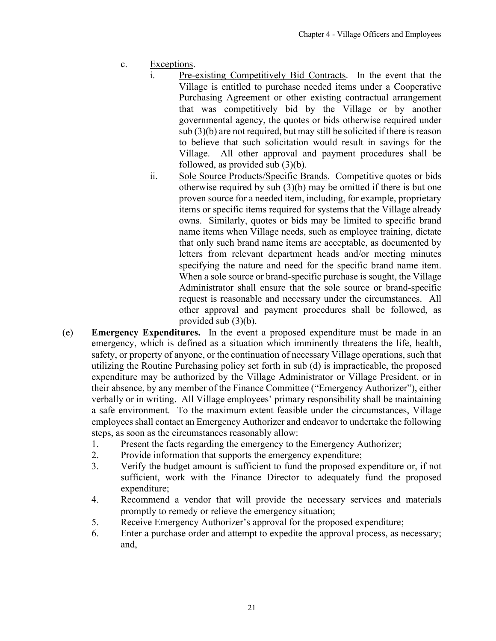- c. Exceptions.
	- i. Pre-existing Competitively Bid Contracts. In the event that the Village is entitled to purchase needed items under a Cooperative Purchasing Agreement or other existing contractual arrangement that was competitively bid by the Village or by another governmental agency, the quotes or bids otherwise required under sub (3)(b) are not required, but may still be solicited if there is reason to believe that such solicitation would result in savings for the Village. All other approval and payment procedures shall be followed, as provided sub (3)(b).
	- ii. Sole Source Products/Specific Brands. Competitive quotes or bids otherwise required by sub (3)(b) may be omitted if there is but one proven source for a needed item, including, for example, proprietary items or specific items required for systems that the Village already owns. Similarly, quotes or bids may be limited to specific brand name items when Village needs, such as employee training, dictate that only such brand name items are acceptable, as documented by letters from relevant department heads and/or meeting minutes specifying the nature and need for the specific brand name item. When a sole source or brand-specific purchase is sought, the Village Administrator shall ensure that the sole source or brand-specific request is reasonable and necessary under the circumstances. All other approval and payment procedures shall be followed, as provided sub (3)(b).
- (e) **Emergency Expenditures.** In the event a proposed expenditure must be made in an emergency, which is defined as a situation which imminently threatens the life, health, safety, or property of anyone, or the continuation of necessary Village operations, such that utilizing the Routine Purchasing policy set forth in sub (d) is impracticable, the proposed expenditure may be authorized by the Village Administrator or Village President, or in their absence, by any member of the Finance Committee ("Emergency Authorizer"), either verbally or in writing. All Village employees' primary responsibility shall be maintaining a safe environment. To the maximum extent feasible under the circumstances, Village employees shall contact an Emergency Authorizer and endeavor to undertake the following steps, as soon as the circumstances reasonably allow:
	- 1. Present the facts regarding the emergency to the Emergency Authorizer;
	- 2. Provide information that supports the emergency expenditure;
	- 3. Verify the budget amount is sufficient to fund the proposed expenditure or, if not sufficient, work with the Finance Director to adequately fund the proposed expenditure;
	- 4. Recommend a vendor that will provide the necessary services and materials promptly to remedy or relieve the emergency situation;
	- 5. Receive Emergency Authorizer's approval for the proposed expenditure;
	- 6. Enter a purchase order and attempt to expedite the approval process, as necessary; and,